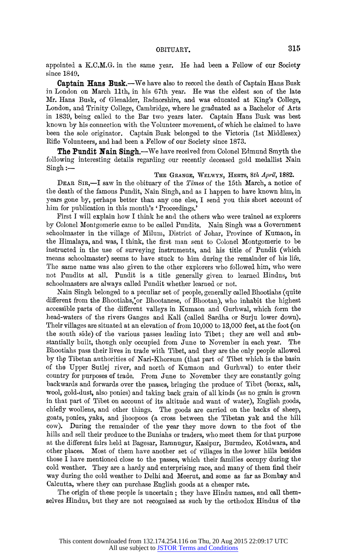appointed a K.C.M.G. in the same year. He had been a Fellow of our Society since 1849.

Captain Hans Busk.—We have also to record the death of Captain Hans Busk in London on March 11th, in his 67th year. He was the eldest son of the late Mr. Hans Busk, of Gienalder, Radnorshire, and was educated at King's College, London, and Trinity College, Cambridge, where he graduated as a Bachelor of Arts in 1839, being called to the Bar two years later. Captain Hans Busk was best known by his connection with the Yolunteer movement, of which he claimed to have been the sole originator. Captain Busk belonged to the Victoria (lst Middlesex) Rifle Volunteers, and had been a Fellow of our Society since 1873.

The Pundit Nain Singh.—We have received from Colonel Edmund Smyth the following interesting details regarding our recently deceased gold medallist Nain  $Singh:$ 

THE GRANGE, WELWYN, HERTS, 8th April, 1882.

DEAR SIR,-I saw in the obituary of the Times of the 15th March, a notice of the death of the famous Pundit, Nain Singh, and as I happen to have known him, in years gone by, perhaps better than any one else, I send you this short account of him for publication in this month's 'Proceedings.'

First I will explain how I think he and the others who were trained as expiorers by Colonel Montgomerie came to be called Pundits. Nain Singh was a Government schoolmaster in the village of Milum, District of Johar, Province of Kumaon, in the Himalaya, and was, I think, the first man sent to Colonel Montgomerie to be instructed in the use of surveying instruments, and his title of Pundit (which means schoolmaster) seems to have stuck to him during the remainder of his life. The same name was also given to the other expiorers who followed him, who were not Pundits at all. Pundit is a title generally given to learned Hindus, but schoolmasters are always called Pundit whether learned or not.

Nain Singh belonged to a peculiar set of people, generally called Bhootiahs (quite different from the Bhootiahs, or Bhootanese, of Bhootan), who inhabit the highest accessible parts of the different valleys in Kumaon and Gurhwal, which form the head-waters of the rivers Ganges and Kali (called Sardha or Surju lower down). Their villages are situated at an elevation of from 10,000 to 13,000 feet, at the foot (on the south side) of the various passes leading into Tibet; they are well and substantially built, though only occupied from June to November in each year. The Bhootiahs pass their lives in trade with Tibet, and they are the only people allowed by the Tibetan authorities of Nari-Khorsum (that part of Tibet which is the basin of the Upper Sutlej river, and north of Kumaon and Gurhwal) to enter their country for purposes of trade. From June to November they are constantly going backwards and forwards over the passes, bringing the produce of Tibet (borax, salt, wool, gold-dust, also ponies) and taking back grain of all kinds (as no grain is grown in that part of Tibet on account of its altitude and want of water), English goods, chiefly woollens, and other things. The goods are carried on the backs of sheep, goats, ponies, yaks, and jhoopoos (a cross between the Tibetan yak and the hill cow). During the remainder of the year they move down to the foot of the hills and sell their produce to the Buniahs or traders, who meet them for that purpose at the different fairs held at Bagesar, Ramnugur, Kasipur, Burmdeo, Kotdwara, and other places. Most of them have another set of villages in the lower hills besides those I have mentioned close to the passes, which their families occupy during the cold weather. They are a hardy and enterprising race, and many of them find their way during the cold weather to Delhi and Meerut, and some as far as Bombay and Calcutta, where they can purchase English goods at a cheaper rate.

The origin of these people is uncertain; they have Hindu names, and call themselves Hindus, but they are not recognised as such by the orthodox Hindus of the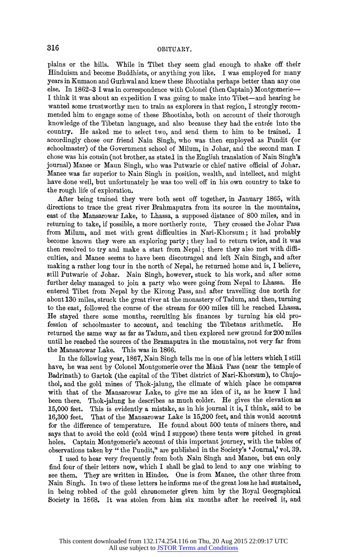plains or the hills. While in Tibet they seem glad enough to shake off their Hinduism and become Buddhists, or anything you like. I was employed for many years in Kumaon and Gurhwal and knew these Bhootiahs perhaps better than any one else. In 1862-3 I was in correspondence with Colonel (then Captain) Montgomerie? I think it was about an expedition I was going to make into Tibet—and hearing he wanted some trustworthy men to train as explorers in that region, I strongly recommended him to engage some of these Bhootiahs, both on account of their thorough knowledge of the Tibetan language, and also because they had the entrée into the country. He asked me to select two, and send them to him to be trained. I accordingly chose our friend Nain Singh, who was then employed as Pundit (or schoolmaster) of the Government school of Milum, in Johar, and the second man I chose was his cousin (not brother, as stated in the English translation of Nain Singh's journal) Manee or Maun Singh, who was Putwarie or chief native official of Johar. Manee was far superior to Nain Singh in position, wealth, and intellect, and might have done well, but unfortunately he was too well off in his own country to take to the rough life of exploration.

After being trained they were both sent off together, in January 1865, with directions to trace the great river Brahmaputra from its source in the mountains, east of the Mansarowar Lake, to Lhassa, a supposed distance of 800 miles, and in returning to take, if possible, a more northerly route. They crossed the Johar Pass from Milum, and met with great difficulties in Nari-Khorsum; it had probably become known they were an exploring party; they had to return twice, and it was then resolved to try and make a start from Nepal; there they also met with difficulties, and Manee seems to have been discouraged and left Nain Singh, and after making a rather long tour in the north of Nepal, he returned home and is, I believe, still Putwarie of Johar. Nain Singh, however, stuck to his work, and after some further delay managed to join a party who were going from Nepal to Lhassa. entered Tibet from Nepal by the Kirong Pass, and after travelling due north for about 130 miles, struck the great river at the monastery of Tadum, and then, turning to the east, followed the course of the stream for 600 miles till he reached Lhassa. He stayed there some months, recruiting his finances by turning his old pro-<br>fession of schoolmaster to account, and teaching the Tibetans arithmetic. He fession of schoolmaster to account, and teaching the Tibetans arithmetic. returned the same way as far as Tadum, and then explored new ground for 200 miles until he reached the sources of the Bramaputra in the mountains, not very far from the Mansarowar Lake. This was in 1866. the Mansarowar Lake.

In the following year, 1867, Nain Singh tells me in one of his letters which I still have, he was sent by Colonel Montgomerie over the Mana Pass (near the temple of Badrinath) to Gartok (the capital of the Tibet district of Nari-Khorsum), to Chujothol, and the gold mines of Thok-jalung, the climate of which place he compares with that of the Mansarowar Lake, to give me an idea of it, as he knew I had been there. Thok-jalung he describes as much colder. He gives the elevation as 15,000 feet. This is evidently a mistake, as in his journal it is, I think, said to be That of the Mansarowar Lake is 15,200 feet, and this would account for the difference of temperature. He found about 500 tents of miners there, and says that to avoid the cold (cold wind I suppose) these tents were pitched in great holes. Captain Montgomerie's account of this important journey, with the tables of observations taken by " the Pundit," are published in the Society's 'Journal,' vol. 39.

I used to hear very frequently from both Nain Singh and Manee, but can only find four of their letters now, which I shall be glad to lend to any one wishing to see them. They are written in Hindee. One is from Manee, the other three from Nain Singh. In two of these letters he informs me of the great loss he had sustained, in being robbed of the gold chronometer given him by the Royal Geographical Society in 1868. It was stolen from him six months after he received it, and